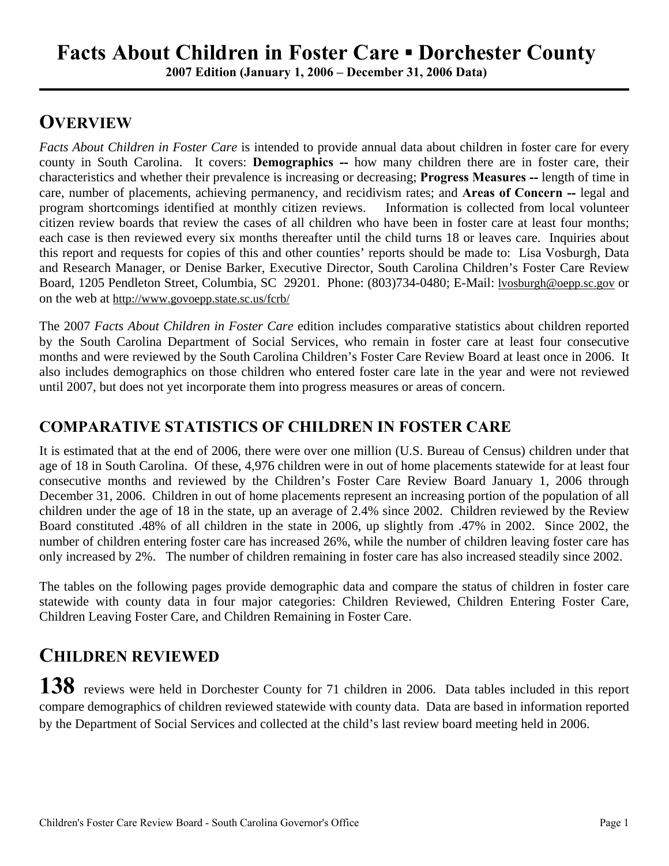**2007 Edition (January 1, 2006 – December 31, 2006 Data)**

## **OVERVIEW**

*Facts About Children in Foster Care* is intended to provide annual data about children in foster care for every county in South Carolina. It covers: **Demographics --** how many children there are in foster care, their characteristics and whether their prevalence is increasing or decreasing; **Progress Measures --** length of time in care, number of placements, achieving permanency, and recidivism rates; and **Areas of Concern --** legal and program shortcomings identified at monthly citizen reviews. Information is collected from local volunteer citizen review boards that review the cases of all children who have been in foster care at least four months; each case is then reviewed every six months thereafter until the child turns 18 or leaves care. Inquiries about this report and requests for copies of this and other counties' reports should be made to: Lisa Vosburgh, Data and Research Manager, or Denise Barker, Executive Director, South Carolina Children's Foster Care Review Board, 1205 Pendleton Street, Columbia, SC 29201. Phone: (803)734-0480; E-Mail: lvosburgh@oepp.sc.gov or on the web at http://www.govoepp.state.sc.us/fcrb/

The 2007 *Facts About Children in Foster Care* edition includes comparative statistics about children reported by the South Carolina Department of Social Services, who remain in foster care at least four consecutive months and were reviewed by the South Carolina Children's Foster Care Review Board at least once in 2006. It also includes demographics on those children who entered foster care late in the year and were not reviewed until 2007, but does not yet incorporate them into progress measures or areas of concern.

#### **COMPARATIVE STATISTICS OF CHILDREN IN FOSTER CARE**

It is estimated that at the end of 2006, there were over one million (U.S. Bureau of Census) children under that age of 18 in South Carolina. Of these, 4,976 children were in out of home placements statewide for at least four consecutive months and reviewed by the Children's Foster Care Review Board January 1, 2006 through December 31, 2006. Children in out of home placements represent an increasing portion of the population of all children under the age of 18 in the state, up an average of 2.4% since 2002. Children reviewed by the Review Board constituted .48% of all children in the state in 2006, up slightly from .47% in 2002. Since 2002, the number of children entering foster care has increased 26%, while the number of children leaving foster care has only increased by 2%. The number of children remaining in foster care has also increased steadily since 2002.

The tables on the following pages provide demographic data and compare the status of children in foster care statewide with county data in four major categories: Children Reviewed, Children Entering Foster Care, Children Leaving Foster Care, and Children Remaining in Foster Care.

### **CHILDREN REVIEWED**

**138** reviews were held in Dorchester County for 71 children in 2006. Data tables included in this report compare demographics of children reviewed statewide with county data. Data are based in information reported by the Department of Social Services and collected at the child's last review board meeting held in 2006.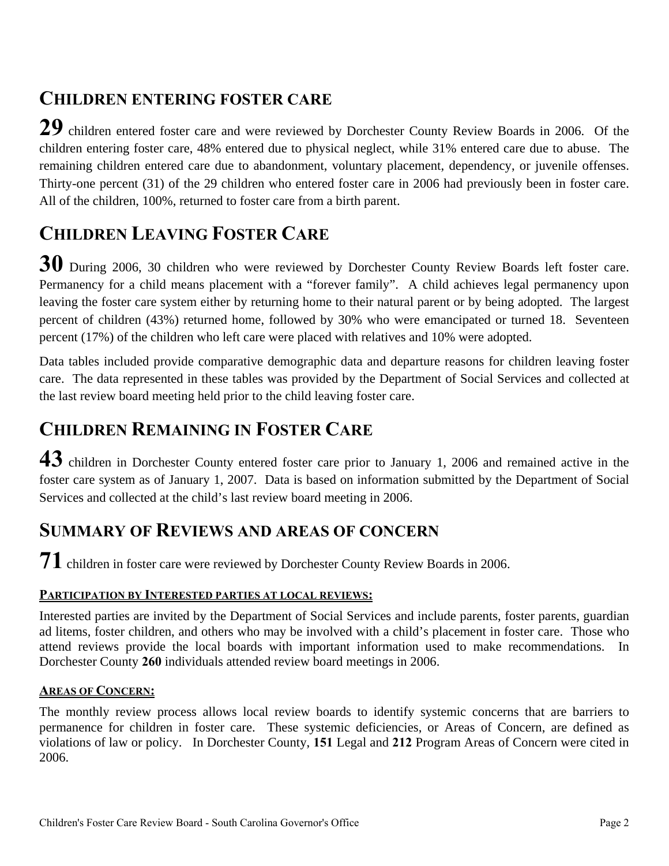### **CHILDREN ENTERING FOSTER CARE**

**29** children entered foster care and were reviewed by Dorchester County Review Boards in 2006. Of the children entering foster care, 48% entered due to physical neglect, while 31% entered care due to abuse. The remaining children entered care due to abandonment, voluntary placement, dependency, or juvenile offenses. Thirty-one percent (31) of the 29 children who entered foster care in 2006 had previously been in foster care. All of the children, 100%, returned to foster care from a birth parent.

## **CHILDREN LEAVING FOSTER CARE**

**30** During 2006, 30 children who were reviewed by Dorchester County Review Boards left foster care. Permanency for a child means placement with a "forever family". A child achieves legal permanency upon leaving the foster care system either by returning home to their natural parent or by being adopted. The largest percent of children (43%) returned home, followed by 30% who were emancipated or turned 18. Seventeen percent (17%) of the children who left care were placed with relatives and 10% were adopted.

Data tables included provide comparative demographic data and departure reasons for children leaving foster care. The data represented in these tables was provided by the Department of Social Services and collected at the last review board meeting held prior to the child leaving foster care.

## **CHILDREN REMAINING IN FOSTER CARE**

**43** children in Dorchester County entered foster care prior to January 1, 2006 and remained active in the foster care system as of January 1, 2007. Data is based on information submitted by the Department of Social Services and collected at the child's last review board meeting in 2006.

#### **SUMMARY OF REVIEWS AND AREAS OF CONCERN**

**71** children in foster care were reviewed by Dorchester County Review Boards in 2006.

#### **PARTICIPATION BY INTERESTED PARTIES AT LOCAL REVIEWS:**

Interested parties are invited by the Department of Social Services and include parents, foster parents, guardian ad litems, foster children, and others who may be involved with a child's placement in foster care. Those who attend reviews provide the local boards with important information used to make recommendations. In Dorchester County **260** individuals attended review board meetings in 2006.

#### **AREAS OF CONCERN:**

The monthly review process allows local review boards to identify systemic concerns that are barriers to permanence for children in foster care. These systemic deficiencies, or Areas of Concern, are defined as violations of law or policy. In Dorchester County, **151** Legal and **212** Program Areas of Concern were cited in 2006.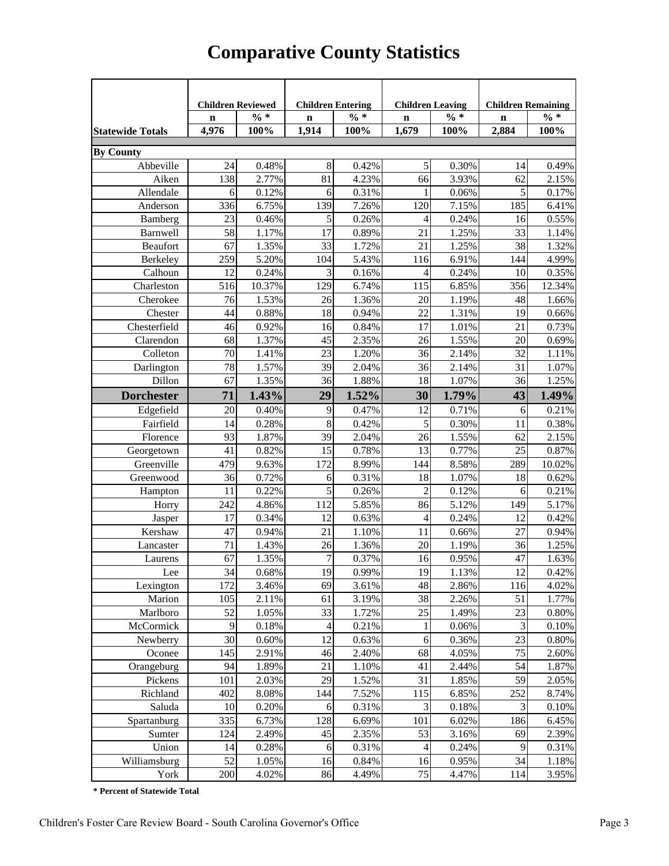|                         | <b>Children Reviewed</b><br><b>Children Entering</b> |          |                | <b>Children Leaving</b> |                | <b>Children Remaining</b> |                |        |
|-------------------------|------------------------------------------------------|----------|----------------|-------------------------|----------------|---------------------------|----------------|--------|
|                         | $\mathbf n$                                          | $\% *$   | $\mathbf n$    | $\% *$                  | $\mathbf n$    | $\% *$                    | $\mathbf n$    | $\% *$ |
| <b>Statewide Totals</b> | 4,976                                                | 100%     | 1,914          | 100%                    | 1,679          | 100%                      | 2,884          | 100%   |
| <b>By County</b>        |                                                      |          |                |                         |                |                           |                |        |
| Abbeville               | 24                                                   | 0.48%    | 8              | 0.42%                   | $\sqrt{5}$     | 0.30%                     | 14             | 0.49%  |
| Aiken                   | 138                                                  | 2.77%    | 81             | 4.23%                   | 66             | 3.93%                     | 62             | 2.15%  |
| Allendale               | 6                                                    | 0.12%    | 6              | 0.31%                   | 1              | 0.06%                     | 5              | 0.17%  |
| Anderson                | 336                                                  | 6.75%    | 139            | 7.26%                   | 120            | 7.15%                     | 185            | 6.41%  |
| Bamberg                 | 23                                                   | 0.46%    | 5              | 0.26%                   | $\overline{4}$ | 0.24%                     | 16             | 0.55%  |
| Barnwell                | 58                                                   | 1.17%    | 17             | 0.89%                   | 21             | 1.25%                     | 33             | 1.14%  |
| Beaufort                | 67                                                   | 1.35%    | 33             | 1.72%                   | 21             | 1.25%                     | 38             | 1.32%  |
| Berkeley                | 259                                                  | 5.20%    | 104            | 5.43%                   | 116            | 6.91%                     | 144            | 4.99%  |
| Calhoun                 | 12                                                   | 0.24%    | 3              | 0.16%                   | 4              | 0.24%                     | 10             | 0.35%  |
| Charleston              | 516                                                  | 10.37%   | 129            | 6.74%                   | 115            | 6.85%                     | 356            | 12.34% |
| Cherokee                | 76                                                   | 1.53%    | 26             | 1.36%                   | 20             | 1.19%                     | 48             | 1.66%  |
| Chester                 | 44                                                   | 0.88%    | 18             | 0.94%                   | 22             | 1.31%                     | 19             | 0.66%  |
| Chesterfield            | 46                                                   | 0.92%    | 16             | 0.84%                   | 17             | 1.01%                     | 21             | 0.73%  |
| Clarendon               | 68                                                   | 1.37%    | 45             | 2.35%                   | 26             | 1.55%                     | 20             | 0.69%  |
| Colleton                | 70                                                   | 1.41%    | 23             | 1.20%                   | 36             | 2.14%                     | 32             | 1.11%  |
| Darlington              | 78                                                   | 1.57%    | 39             | 2.04%                   | 36             | 2.14%                     | 31             | 1.07%  |
| Dillon                  | 67                                                   | 1.35%    | 36             | 1.88%                   | 18             | 1.07%                     | 36             | 1.25%  |
| <b>Dorchester</b>       | 71                                                   | 1.43%    | 29             | 1.52%                   | 30             | 1.79%                     | 43             | 1.49%  |
|                         |                                                      |          |                |                         |                |                           |                |        |
| Edgefield               | 20                                                   | 0.40%    | 9              | 0.47%                   | 12             | 0.71%                     | 6              | 0.21%  |
| Fairfield               | 14                                                   | 0.28%    | $\,8\,$        | 0.42%                   | 5              | 0.30%                     | 11             | 0.38%  |
| Florence                | 93                                                   | 1.87%    | 39             | 2.04%                   | 26             | 1.55%                     | 62             | 2.15%  |
| Georgetown              | 41                                                   | 0.82%    | 15             | 0.78%                   | 13             | 0.77%                     | 25             | 0.87%  |
| Greenville              | 479                                                  | 9.63%    | 172            | 8.99%                   | 144            | 8.58%                     | 289            | 10.02% |
| Greenwood               | 36                                                   | 0.72%    | 6              | 0.31%                   | 18             | 1.07%                     | 18             | 0.62%  |
| Hampton                 | 11                                                   | 0.22%    | 5              | 0.26%                   | $\overline{2}$ | 0.12%                     | 6              | 0.21%  |
| Horry                   | 242                                                  | 4.86%    | 112            | 5.85%                   | 86             | 5.12%                     | 149            | 5.17%  |
| Jasper                  | 17                                                   | 0.34%    | 12             | 0.63%                   | $\overline{4}$ | 0.24%                     | 12             | 0.42%  |
| Kershaw                 | 47                                                   | 0.94%    | 21             | 1.10%                   | 11             | 0.66%                     | 27             | 0.94%  |
| Lancaster               | 71                                                   | 1.43%    | 26             | 1.36%                   | 20             | 1.19%                     | 36             | 1.25%  |
| Laurens                 | 67                                                   | 1.35%    | $\overline{7}$ | 0.37%                   | 16             | 0.95%                     | 47             | 1.63%  |
| Lee                     | 34                                                   | $0.68\%$ | 19             | 0.99%                   | 19             | 1.13%                     | 12             | 0.42%  |
| Lexington               | 172                                                  | 3.46%    | 69             | 3.61%                   | 48             | 2.86%                     | 116            | 4.02%  |
| Marion                  | 105                                                  | 2.11%    | 61             | 3.19%                   | 38             | 2.26%                     | 51             | 1.77%  |
| Marlboro                | 52                                                   | 1.05%    | 33             | 1.72%                   | 25             | 1.49%                     | 23             | 0.80%  |
| McCormick               | 9                                                    | 0.18%    | $\overline{4}$ | 0.21%                   | 1              | 0.06%                     | 3              | 0.10%  |
| Newberry                | 30                                                   | 0.60%    | 12             | 0.63%                   | 6              | 0.36%                     | 23             | 0.80%  |
| Oconee                  | 145                                                  | 2.91%    | 46             | 2.40%                   | 68             | 4.05%                     | 75             | 2.60%  |
| Orangeburg              | 94                                                   | 1.89%    | 21             | 1.10%                   | 41             | 2.44%                     | 54             | 1.87%  |
| Pickens                 | 101                                                  | 2.03%    | 29             | 1.52%                   | 31             | 1.85%                     | 59             | 2.05%  |
| Richland                | 402                                                  | 8.08%    | 144            | 7.52%                   | 115            | 6.85%                     | 252            | 8.74%  |
| Saluda                  | 10                                                   | 0.20%    | 6              | 0.31%                   | $\mathfrak{Z}$ | 0.18%                     | $\mathfrak{Z}$ | 0.10%  |
| Spartanburg             | 335                                                  | 6.73%    | 128            | 6.69%                   | 101            | 6.02%                     | 186            | 6.45%  |
| Sumter                  | 124                                                  | 2.49%    | 45             | 2.35%                   | 53             | 3.16%                     | 69             | 2.39%  |
| Union                   | 14                                                   | 0.28%    | 6              | 0.31%                   | 4              | 0.24%                     | 9              | 0.31%  |
| Williamsburg            | 52                                                   | 1.05%    | 16             | 0.84%                   | 16             | 0.95%                     | 34             | 1.18%  |
| York                    | 200                                                  | 4.02%    | 86             | 4.49%                   | 75             | 4.47%                     | 114            | 3.95%  |

## **Comparative County Statistics**

**\* Percent of Statewide Total**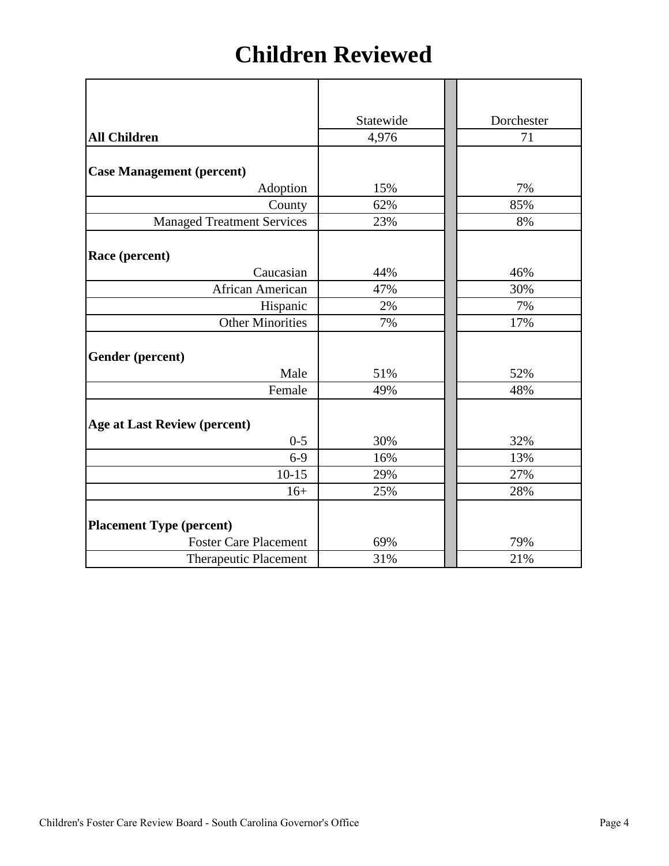## **Children Reviewed**

|                                     | Statewide | Dorchester |
|-------------------------------------|-----------|------------|
| <b>All Children</b>                 | 4,976     | 71         |
|                                     |           |            |
| <b>Case Management (percent)</b>    |           |            |
| Adoption                            | 15%       | 7%         |
| County                              | 62%       | 85%        |
| <b>Managed Treatment Services</b>   | 23%       | 8%         |
|                                     |           |            |
| Race (percent)                      |           |            |
| Caucasian                           | 44%       | 46%        |
| African American                    | 47%       | 30%        |
| Hispanic                            | 2%        | 7%         |
| <b>Other Minorities</b>             | 7%        | 17%        |
|                                     |           |            |
| Gender (percent)                    |           |            |
| Male                                | 51%       | 52%        |
| Female                              | 49%       | 48%        |
|                                     |           |            |
| <b>Age at Last Review (percent)</b> |           |            |
| $0 - 5$                             | 30%       | 32%        |
| $6-9$                               | 16%       | 13%        |
| $10 - 15$                           | 29%       | 27%        |
| $16+$                               | 25%       | 28%        |
|                                     |           |            |
| <b>Placement Type (percent)</b>     |           |            |
| <b>Foster Care Placement</b>        | 69%       | 79%        |
| <b>Therapeutic Placement</b>        | 31%       | 21%        |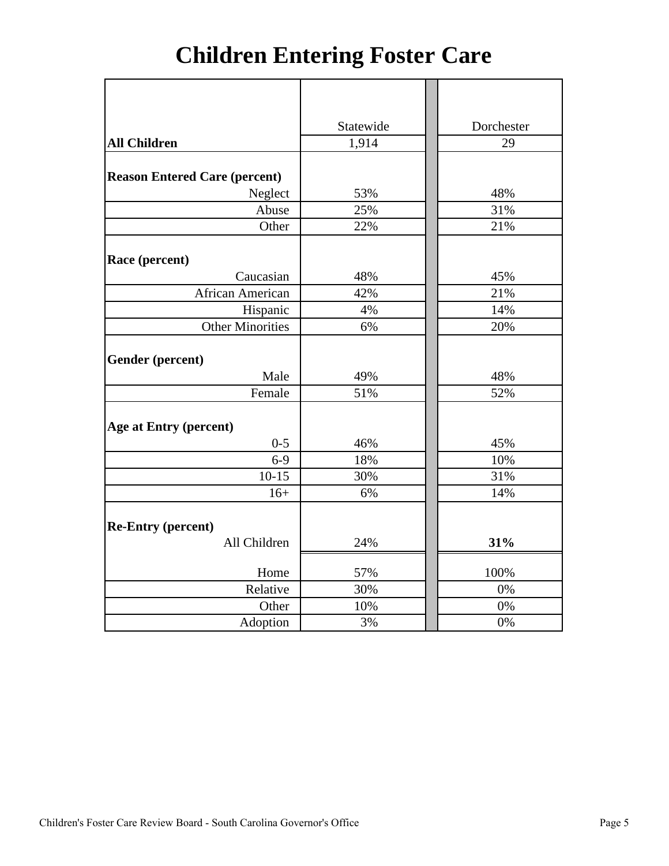# **Children Entering Foster Care**

|                                      | Statewide | Dorchester |
|--------------------------------------|-----------|------------|
| <b>All Children</b>                  | 1,914     | 29         |
|                                      |           |            |
| <b>Reason Entered Care (percent)</b> |           |            |
| Neglect                              | 53%       | 48%        |
| Abuse                                | 25%       | 31%        |
| Other                                | 22%       | 21%        |
|                                      |           |            |
| Race (percent)                       |           |            |
| Caucasian                            | 48%       | 45%        |
| African American                     | 42%       | 21%        |
| Hispanic                             | 4%        | 14%        |
| <b>Other Minorities</b>              | 6%        | 20%        |
|                                      |           |            |
| Gender (percent)                     |           |            |
| Male                                 | 49%       | 48%        |
| Female                               | 51%       | 52%        |
|                                      |           |            |
| Age at Entry (percent)               |           |            |
| $0 - 5$                              | 46%       | 45%        |
| $6-9$                                | 18%       | 10%        |
| $10-15$                              | 30%       | 31%        |
| $16+$                                | 6%        | 14%        |
|                                      |           |            |
| <b>Re-Entry (percent)</b>            |           |            |
| All Children                         | 24%       | 31%        |
| Home                                 | 57%       | 100%       |
| Relative                             | 30%       | 0%         |
| Other                                | 10%       | 0%         |
| Adoption                             | 3%        | 0%         |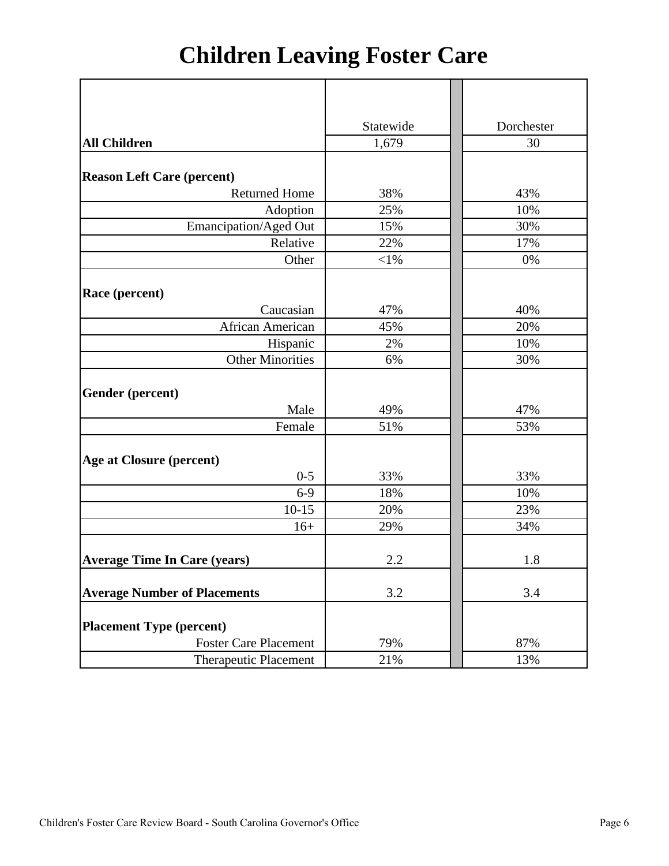# **Children Leaving Foster Care**

|                                     | Statewide | Dorchester |
|-------------------------------------|-----------|------------|
| <b>All Children</b>                 | 1,679     | 30         |
|                                     |           |            |
| <b>Reason Left Care (percent)</b>   |           |            |
| <b>Returned Home</b>                | 38%       | 43%        |
| Adoption                            | 25%       | 10%        |
| Emancipation/Aged Out               | 15%       | 30%        |
| Relative                            | 22%       | 17%        |
| Other                               | $<$ 1%    | 0%         |
|                                     |           |            |
| Race (percent)                      |           |            |
| Caucasian                           | 47%       | 40%        |
| African American                    | 45%       | 20%        |
| Hispanic                            | 2%        | 10%        |
| <b>Other Minorities</b>             | 6%        | 30%        |
|                                     |           |            |
| Gender (percent)                    |           |            |
| Male                                | 49%       | 47%        |
| Female                              | 51%       | 53%        |
|                                     |           |            |
| <b>Age at Closure (percent)</b>     |           |            |
| $0 - 5$                             | 33%       | 33%        |
| $6-9$                               | 18%       | 10%        |
| $10 - 15$                           | 20%       | 23%        |
| $16+$                               | 29%       | 34%        |
|                                     |           |            |
| <b>Average Time In Care (years)</b> | 2.2       | 1.8        |
|                                     |           |            |
| <b>Average Number of Placements</b> | 3.2       | 3.4        |
|                                     |           |            |
| <b>Placement Type (percent)</b>     |           |            |
| <b>Foster Care Placement</b>        | 79%       | 87%        |
| <b>Therapeutic Placement</b>        | 21%       | 13%        |
|                                     |           |            |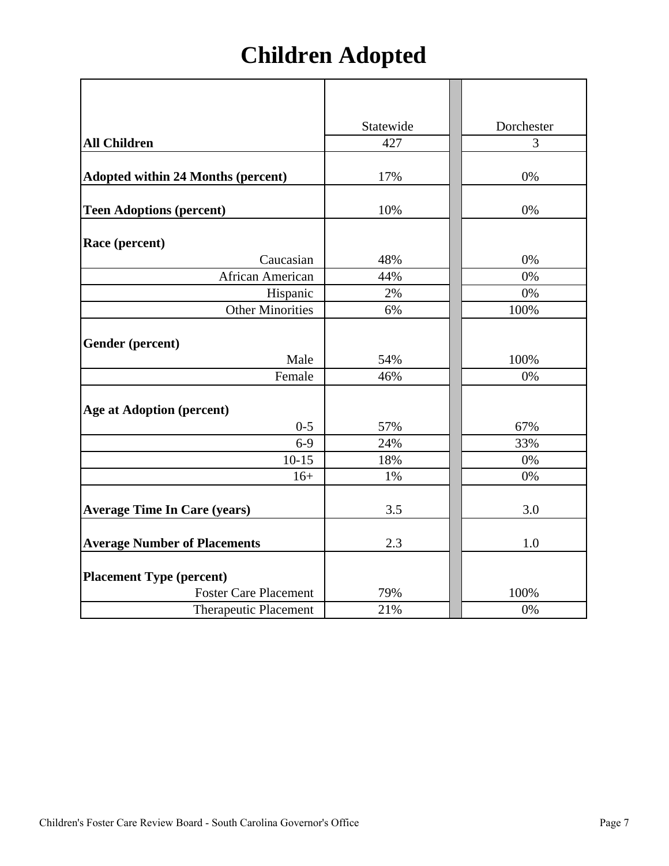# **Children Adopted**

|                                           | Statewide | Dorchester |
|-------------------------------------------|-----------|------------|
| <b>All Children</b>                       | 427       | 3          |
| <b>Adopted within 24 Months (percent)</b> | 17%       | 0%         |
|                                           |           |            |
| <b>Teen Adoptions (percent)</b>           | 10%       | 0%         |
| Race (percent)                            |           |            |
| Caucasian                                 | 48%       | 0%         |
| African American                          | 44%       | 0%         |
| Hispanic                                  | 2%        | 0%         |
| <b>Other Minorities</b>                   | 6%        | 100%       |
| <b>Gender</b> (percent)                   |           |            |
| Male                                      | 54%       | 100%       |
| Female                                    | 46%       | 0%         |
| <b>Age at Adoption (percent)</b>          |           |            |
| $0 - 5$                                   | 57%       | 67%        |
| $6-9$                                     | 24%       | 33%        |
| $10-15$                                   | 18%       | 0%         |
| $16+$                                     | 1%        | 0%         |
| <b>Average Time In Care (years)</b>       | 3.5       | 3.0        |
| <b>Average Number of Placements</b>       | 2.3       | 1.0        |
| <b>Placement Type (percent)</b>           |           |            |
| <b>Foster Care Placement</b>              | 79%       | 100%       |
| Therapeutic Placement                     | 21%       | 0%         |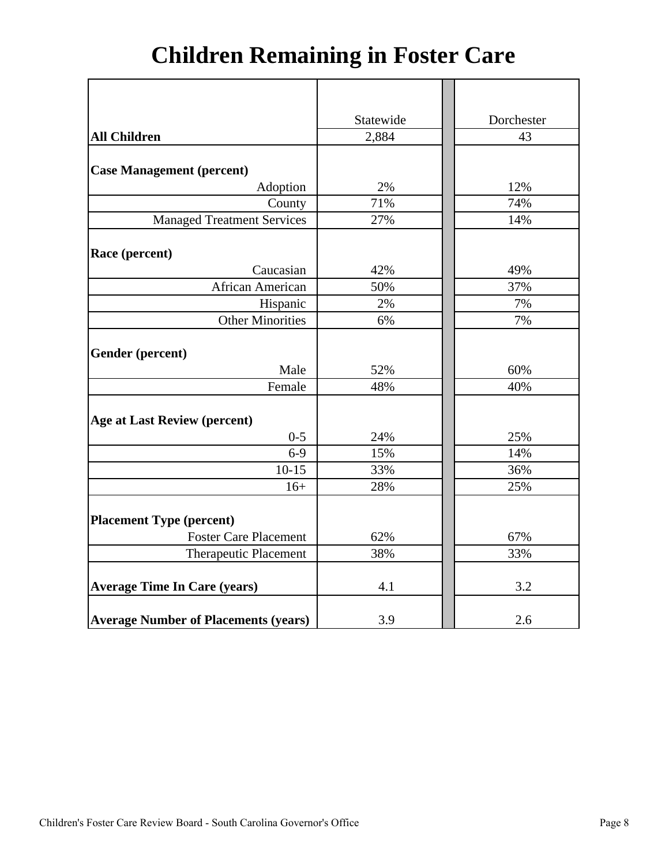# **Children Remaining in Foster Care**

|                                             | Statewide | Dorchester |
|---------------------------------------------|-----------|------------|
| <b>All Children</b>                         | 2,884     | 43         |
|                                             |           |            |
| <b>Case Management (percent)</b>            |           |            |
| Adoption                                    | 2%        | 12%        |
| County                                      | 71%       | 74%        |
| <b>Managed Treatment Services</b>           | 27%       | 14%        |
|                                             |           |            |
| Race (percent)                              |           |            |
| Caucasian                                   | 42%       | 49%        |
| African American                            | 50%       | 37%        |
| Hispanic                                    | 2%        | 7%         |
| <b>Other Minorities</b>                     | 6%        | 7%         |
|                                             |           |            |
| Gender (percent)                            |           |            |
| Male                                        | 52%       | 60%        |
| Female                                      | 48%       | 40%        |
|                                             |           |            |
| <b>Age at Last Review (percent)</b>         |           |            |
| $0 - 5$                                     | 24%       | 25%        |
| $6-9$                                       | 15%       | 14%        |
| $10-15$                                     | 33%       | 36%        |
| $16+$                                       | 28%       | 25%        |
|                                             |           |            |
| <b>Placement Type (percent)</b>             |           |            |
| <b>Foster Care Placement</b>                | 62%       | 67%        |
| Therapeutic Placement                       | 38%       | 33%        |
|                                             |           |            |
| <b>Average Time In Care (years)</b>         | 4.1       | 3.2        |
|                                             |           |            |
| <b>Average Number of Placements (years)</b> | 3.9       | 2.6        |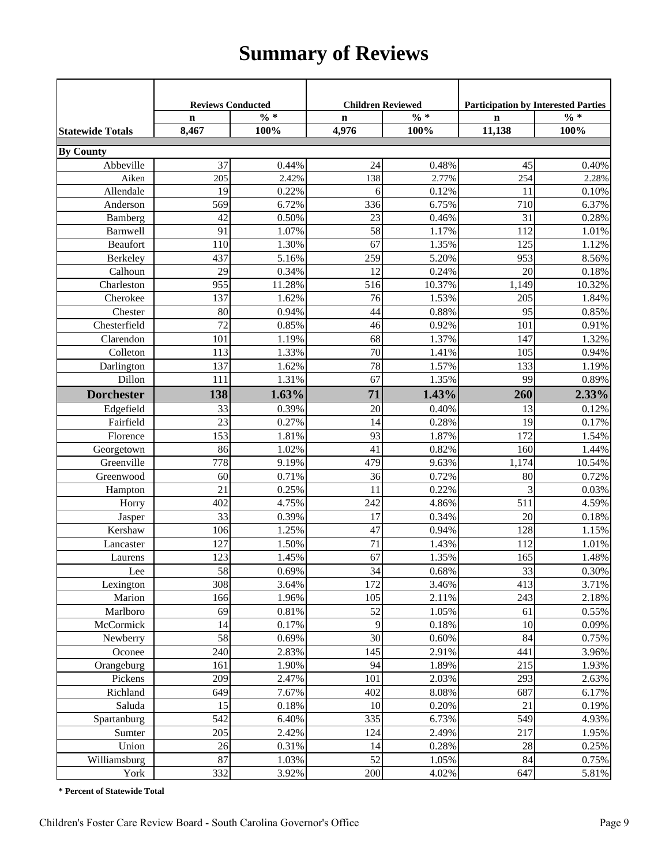## **Summary of Reviews**

|                         | <b>Reviews Conducted</b> |                 | <b>Children Reviewed</b> |                 | <b>Participation by Interested Parties</b> |          |
|-------------------------|--------------------------|-----------------|--------------------------|-----------------|--------------------------------------------|----------|
|                         | $\mathbf n$              | $\frac{0}{6}$ * | $\mathbf n$              | $\frac{0}{6}$ * | $\mathbf n$                                | $\% *$   |
| <b>Statewide Totals</b> | 8,467                    | 100%            | 4,976                    | 100%            | 11,138                                     | 100%     |
| <b>By County</b>        |                          |                 |                          |                 |                                            |          |
| Abbeville               | 37                       | 0.44%           | 24                       | 0.48%           | 45                                         | 0.40%    |
| Aiken                   | 205                      | 2.42%           | 138                      | 2.77%           | 254                                        | 2.28%    |
| Allendale               | 19                       | 0.22%           | 6                        | 0.12%           | 11                                         | 0.10%    |
| Anderson                | 569                      | 6.72%           | 336                      | 6.75%           | 710                                        | 6.37%    |
| Bamberg                 | 42                       | 0.50%           | 23                       | 0.46%           | 31                                         | 0.28%    |
| Barnwell                | 91                       | 1.07%           | 58                       | 1.17%           | 112                                        | 1.01%    |
| Beaufort                | 110                      | 1.30%           | 67                       | 1.35%           | 125                                        | 1.12%    |
| Berkeley                | 437                      | 5.16%           | 259                      | 5.20%           | 953                                        | 8.56%    |
| Calhoun                 | 29                       | 0.34%           | 12                       | 0.24%           | 20                                         | 0.18%    |
| Charleston              | 955                      | 11.28%          | 516                      | 10.37%          | 1,149                                      | 10.32%   |
| Cherokee                | 137                      | 1.62%           | 76                       | 1.53%           | 205                                        | 1.84%    |
| Chester                 | 80                       | 0.94%           | 44                       | 0.88%           | 95                                         | 0.85%    |
| Chesterfield            | 72                       | 0.85%           | 46                       | 0.92%           | 101                                        | 0.91%    |
| Clarendon               | 101                      | 1.19%           | 68                       | 1.37%           | 147                                        | 1.32%    |
| Colleton                | 113                      | 1.33%           | 70                       | 1.41%           | 105                                        | 0.94%    |
| Darlington              | 137                      | 1.62%           | 78                       | 1.57%           | 133                                        | 1.19%    |
| Dillon                  | 111                      | 1.31%           | 67                       | 1.35%           | 99                                         | 0.89%    |
| <b>Dorchester</b>       | 138                      | 1.63%           | 71                       | 1.43%           | 260                                        | 2.33%    |
| Edgefield               | 33                       | 0.39%           | 20                       | 0.40%           | 13                                         | 0.12%    |
| Fairfield               | 23                       | 0.27%           | 14                       | 0.28%           | 19                                         | 0.17%    |
| Florence                | 153                      | 1.81%           | 93                       | 1.87%           | 172                                        | 1.54%    |
| Georgetown              | 86                       | 1.02%           | 41                       | 0.82%           | 160                                        | 1.44%    |
| Greenville              | 778                      | 9.19%           | 479                      | 9.63%           | 1,174                                      | 10.54%   |
| Greenwood               | 60                       | 0.71%           | 36                       | 0.72%           | 80                                         | 0.72%    |
| Hampton                 | 21                       | 0.25%           | 11                       | 0.22%           | 3                                          | 0.03%    |
| Horry                   | 402                      | 4.75%           | 242                      | 4.86%           | 511                                        | 4.59%    |
| Jasper                  | 33                       | 0.39%           | 17                       | 0.34%           | 20                                         | 0.18%    |
| Kershaw                 | 106                      | 1.25%           | 47                       | 0.94%           | 128                                        | 1.15%    |
| Lancaster               | 127                      | 1.50%           | $\overline{71}$          | 1.43%           | 112                                        | 1.01%    |
| Laurens                 | 123                      | 1.45%           | 67                       | 1.35%           | 165                                        | 1.48%    |
| Lee                     | 58                       | 0.69%           | 34                       | 0.68%           | 33                                         | $0.30\%$ |
| Lexington               | 308                      | 3.64%           | 172                      | 3.46%           | 413                                        | 3.71%    |
| Marion                  | 166                      | 1.96%           | 105                      | 2.11%           | 243                                        | 2.18%    |
| Marlboro                | 69                       | 0.81%           | 52                       | 1.05%           | 61                                         | 0.55%    |
| McCormick               | 14                       | 0.17%           | 9                        | 0.18%           | 10                                         | 0.09%    |
| Newberry                | 58                       | 0.69%           | 30                       | 0.60%           | 84                                         | 0.75%    |
| Oconee                  | 240                      | 2.83%           | 145                      | 2.91%           | 441                                        | 3.96%    |
| Orangeburg              | 161                      | 1.90%           | 94                       | 1.89%           | 215                                        | 1.93%    |
| Pickens                 | 209                      | 2.47%           | 101                      | 2.03%           | 293                                        | 2.63%    |
| Richland                | 649                      | 7.67%           | 402                      | 8.08%           | 687                                        | 6.17%    |
| Saluda                  | 15                       | 0.18%           | 10                       | 0.20%           | 21                                         | 0.19%    |
| Spartanburg             | 542                      | 6.40%           | 335                      | 6.73%           | 549                                        | 4.93%    |
| Sumter                  | 205                      | 2.42%           | 124                      | 2.49%           | 217                                        | 1.95%    |
| Union                   | 26                       | 0.31%           | 14<br>52                 | 0.28%           | 28                                         | 0.25%    |
| Williamsburg            | 87                       | 1.03%           |                          | 1.05%           | 84                                         | 0.75%    |
| York                    | 332                      | 3.92%           | 200                      | 4.02%           | 647                                        | 5.81%    |

**\* Percent of Statewide Total**